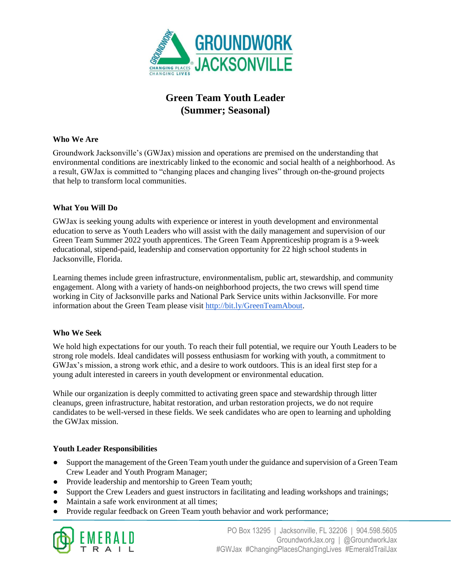

# **Green Team Youth Leader (Summer; Seasonal)**

#### **Who We Are**

Groundwork Jacksonville's (GWJax) mission and operations are premised on the understanding that environmental conditions are inextricably linked to the economic and social health of a neighborhood. As a result, GWJax is committed to "changing places and changing lives" through on-the-ground projects that help to transform local communities.

#### **What You Will Do**

GWJax is seeking young adults with experience or interest in youth development and environmental education to serve as Youth Leaders who will assist with the daily management and supervision of our Green Team Summer 2022 youth apprentices. The Green Team Apprenticeship program is a 9-week educational, stipend-paid, leadership and conservation opportunity for 22 high school students in Jacksonville, Florida.

Learning themes include green infrastructure, environmentalism, public art, stewardship, and community engagement. Along with a variety of hands-on neighborhood projects, the two crews will spend time working in City of Jacksonville parks and National Park Service units within Jacksonville. For more information about the Green Team please visit [http://bit.ly/GreenTeamAbout.](http://bit.ly/GreenTeamAbout)

#### **Who We Seek**

We hold high expectations for our youth. To reach their full potential, we require our Youth Leaders to be strong role models. Ideal candidates will possess enthusiasm for working with youth, a commitment to GWJax's mission, a strong work ethic, and a desire to work outdoors. This is an ideal first step for a young adult interested in careers in youth development or environmental education.

While our organization is deeply committed to activating green space and stewardship through litter cleanups, green infrastructure, habitat restoration, and urban restoration projects, we do not require candidates to be well-versed in these fields. We seek candidates who are open to learning and upholding the GWJax mission.

#### **Youth Leader Responsibilities**

- Support the management of the Green Team youth under the guidance and supervision of a Green Team Crew Leader and Youth Program Manager;
- Provide leadership and mentorship to Green Team youth;
- Support the Crew Leaders and guest instructors in facilitating and leading workshops and trainings;
- Maintain a safe work environment at all times;
- Provide regular feedback on Green Team youth behavior and work performance;